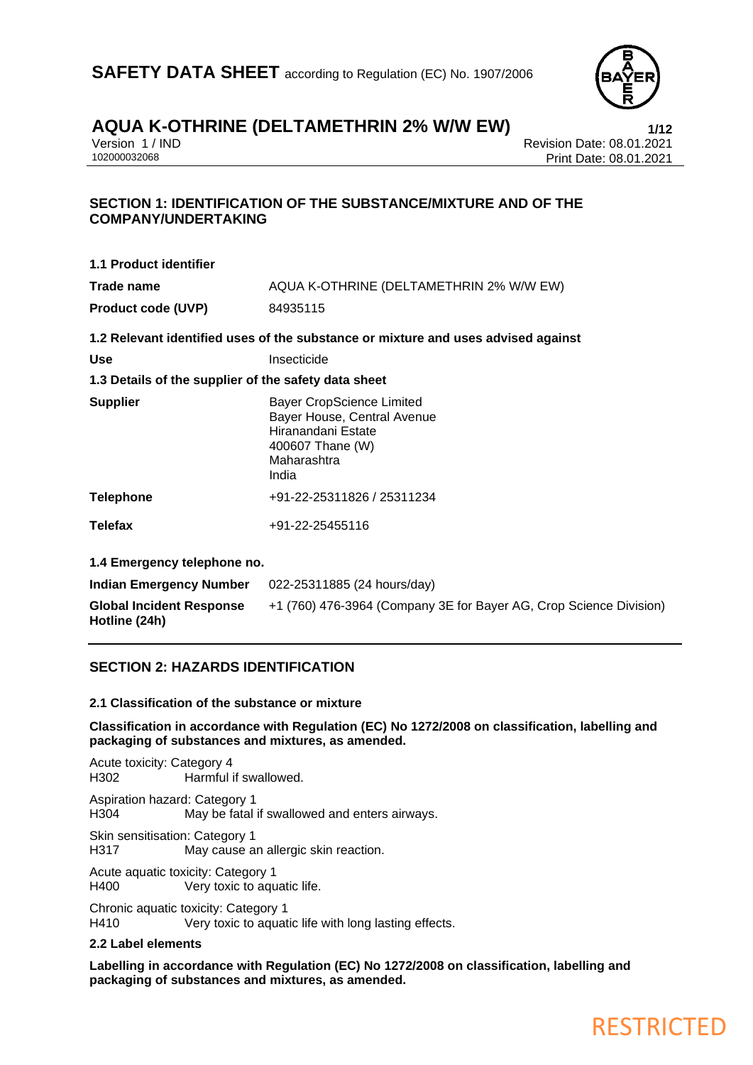

### **AQUA K-OTHRINE (DELTAMETHRIN 2% W/W EW)**<br>Version 1/IND<br>Revision Date: 08.01.2021

Version 1 / IND<br>102000032068<br>Print Date: 08.01.2021 Print Date: 08.01.2021

### **SECTION 1: IDENTIFICATION OF THE SUBSTANCE/MIXTURE AND OF THE COMPANY/UNDERTAKING**

| <b>1.1 Product identifier</b>                        |                                                                                                                                   |
|------------------------------------------------------|-----------------------------------------------------------------------------------------------------------------------------------|
| Trade name                                           | AQUA K-OTHRINE (DELTAMETHRIN 2% W/W EW)                                                                                           |
| <b>Product code (UVP)</b>                            | 84935115                                                                                                                          |
|                                                      | 1.2 Relevant identified uses of the substance or mixture and uses advised against                                                 |
| <b>Use</b>                                           | Insecticide                                                                                                                       |
| 1.3 Details of the supplier of the safety data sheet |                                                                                                                                   |
| <b>Supplier</b>                                      | <b>Bayer CropScience Limited</b><br>Bayer House, Central Avenue<br>Hiranandani Estate<br>400607 Thane (W)<br>Maharashtra<br>India |
| <b>Telephone</b>                                     | +91-22-25311826 / 25311234                                                                                                        |
| <b>Telefax</b>                                       | +91-22-25455116                                                                                                                   |
| 1.4 Emergency telephone no.                          |                                                                                                                                   |
| <b>Indian Emergency Number</b>                       | 022-25311885 (24 hours/day)                                                                                                       |
| <b>Global Incident Response</b>                      | +1 (760) 476-3964 (Company 3E for Bayer AG, Crop Science Division)                                                                |

### **SECTION 2: HAZARDS IDENTIFICATION**

### **2.1 Classification of the substance or mixture**

**Classification in accordance with Regulation (EC) No 1272/2008 on classification, labelling and packaging of substances and mixtures, as amended.**

Acute toxicity: Category 4 H302 Harmful if swallowed.

Aspiration hazard: Category 1 H304 May be fatal if swallowed and enters airways.

Skin sensitisation: Category 1 H317 May cause an allergic skin reaction.

Acute aquatic toxicity: Category 1 H400 Very toxic to aquatic life.

Chronic aquatic toxicity: Category 1

H410 Very toxic to aquatic life with long lasting effects.

### **2.2 Label elements**

**Hotline (24h)**

**Labelling in accordance with Regulation (EC) No 1272/2008 on classification, labelling and packaging of substances and mixtures, as amended.**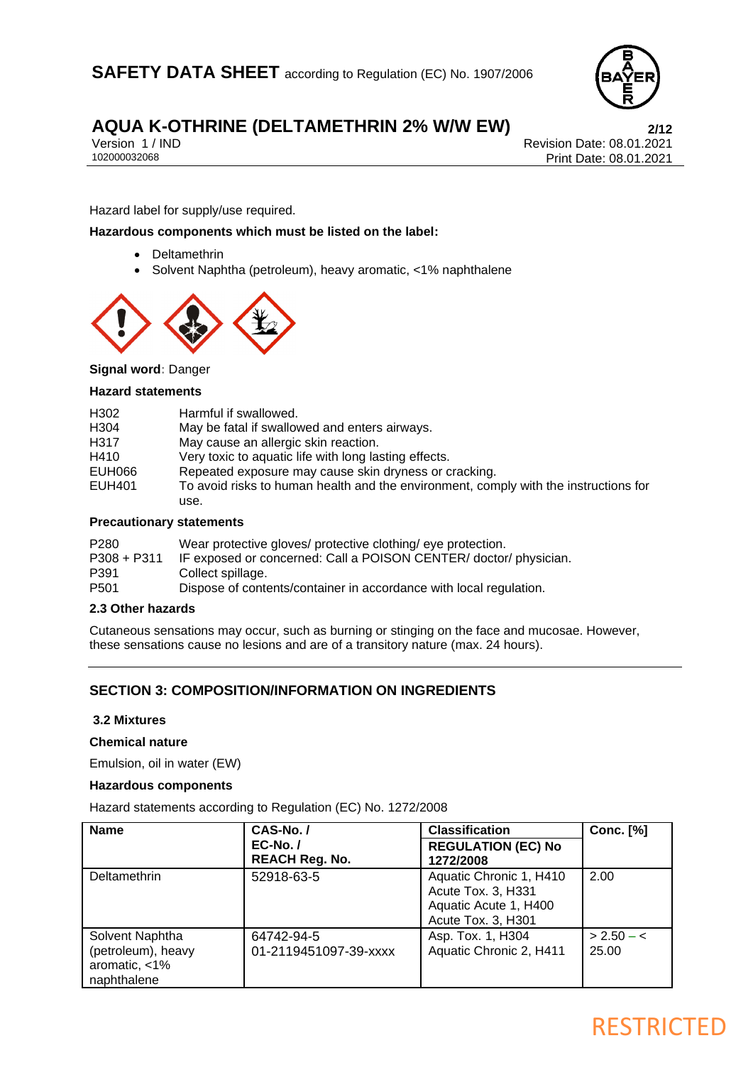

Version 1 / IND<br>102000032068<br>Print Date: 08.01.2021 Print Date: 08.01.2021

### Hazard label for supply/use required.

### **Hazardous components which must be listed on the label:**

- Deltamethrin
- Solvent Naphtha (petroleum), heavy aromatic, <1% naphthalene



### **Signal word:** Danger

### **Hazard statements**

|        | <b>Procautionary statements</b>                                                      |
|--------|--------------------------------------------------------------------------------------|
|        | use.                                                                                 |
| EUH401 | To avoid risks to human health and the environment, comply with the instructions for |
| EUH066 | Repeated exposure may cause skin dryness or cracking.                                |
| H410   | Very toxic to aquatic life with long lasting effects.                                |
| H317   | May cause an allergic skin reaction.                                                 |
| H304   | May be fatal if swallowed and enters airways.                                        |
| H302   | Harmful if swallowed.                                                                |
|        |                                                                                      |

#### **Precautionary statements**

| P280        | Wear protective gloves/ protective clothing/ eye protection.       |
|-------------|--------------------------------------------------------------------|
| P308 + P311 | IF exposed or concerned: Call a POISON CENTER/ doctor/ physician.  |
| P391        | Collect spillage.                                                  |
| P501        | Dispose of contents/container in accordance with local regulation. |

### **2.3 Other hazards**

Cutaneous sensations may occur, such as burning or stinging on the face and mucosae. However, these sensations cause no lesions and are of a transitory nature (max. 24 hours).

### **SECTION 3: COMPOSITION/INFORMATION ON INGREDIENTS**

### **3.2 Mixtures**

### **Chemical nature**

Emulsion, oil in water (EW)

### **Hazardous components**

Hazard statements according to Regulation (EC) No. 1272/2008

| <b>Name</b>                                                              | CAS-No./                            | <b>Classification</b>                                                                        | <b>Conc.</b> [%]      |
|--------------------------------------------------------------------------|-------------------------------------|----------------------------------------------------------------------------------------------|-----------------------|
|                                                                          | $EC-No.$<br><b>REACH Reg. No.</b>   | <b>REGULATION (EC) No</b><br>1272/2008                                                       |                       |
| Deltamethrin                                                             | 52918-63-5                          | Aquatic Chronic 1, H410<br>Acute Tox. 3, H331<br>Aquatic Acute 1, H400<br>Acute Tox. 3, H301 | 2.00                  |
| Solvent Naphtha<br>(petroleum), heavy<br>aromatic, $<$ 1%<br>naphthalene | 64742-94-5<br>01-2119451097-39-xxxx | Asp. Tox. 1, H304<br>Aquatic Chronic 2, H411                                                 | $> 2.50 - c$<br>25.00 |

### **RESTRICTED**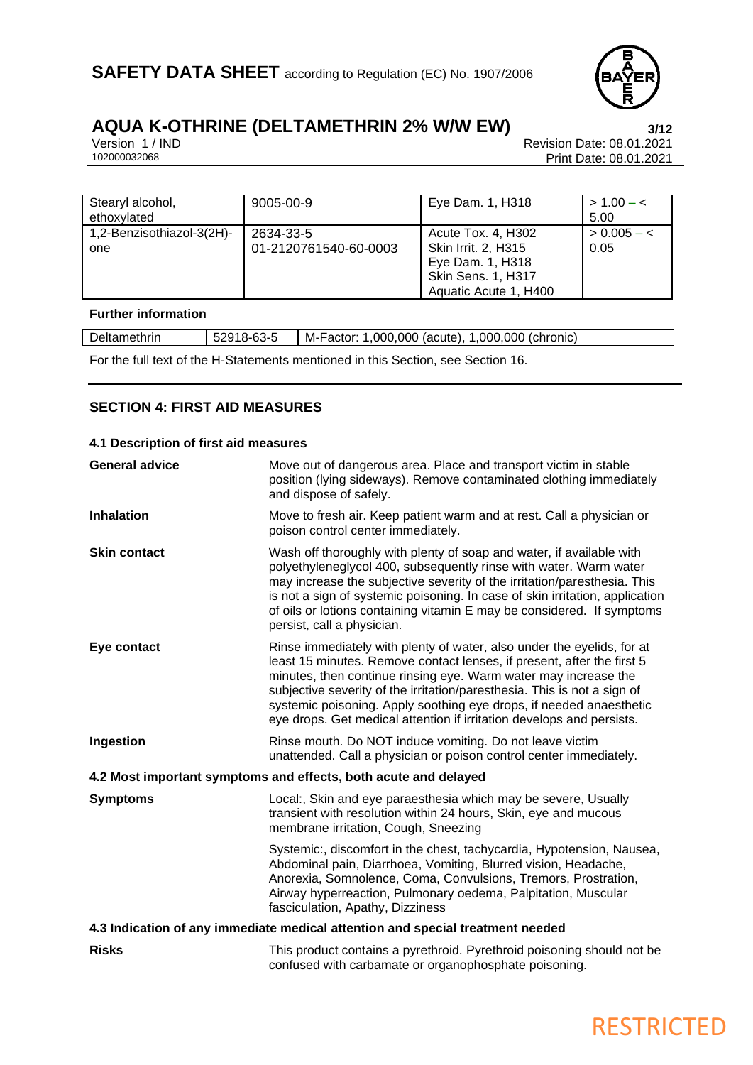

# **AQUA K-OTHRINE (DELTAMETHRIN 2% W/W EW)**<br>Version 1/IND<br>Revision Date: 08.01.2021

Version 1 / IND Revision Date: 08.01.2021<br>102000032068 Print Date: 08.01.2021 Print Date: 08.01.2021

| Stearyl alcohol,<br>ethoxvlated  | 9005-00-9                          | Eye Dam. 1, H318                                                                                                    | $> 1.00 - c$<br>5.00  |
|----------------------------------|------------------------------------|---------------------------------------------------------------------------------------------------------------------|-----------------------|
| 1,2-Benzisothiazol-3(2H)-<br>one | 2634-33-5<br>01-2120761540-60-0003 | Acute Tox. 4, H302<br><b>Skin Irrit. 2, H315</b><br>Eye Dam. 1, H318<br>Skin Sens. 1, H317<br>Aquatic Acute 1, H400 | $> 0.005 - c$<br>0.05 |

### **Further information**

| Deltamethrin                        | ~~<br>8-63-5<br>$\ddot{\phantom{0}}$<br>ບ∠ວ | .000.000<br>,000,000<br>(chronic)<br>(acute).<br>M-Factor: |
|-------------------------------------|---------------------------------------------|------------------------------------------------------------|
| the contract of the contract of the |                                             | $\sim$                                                     |

For the full text of the H-Statements mentioned in this Section, see Section 16.

### **SECTION 4: FIRST AID MEASURES**

### **4.1 Description of first aid measures**

| <b>General advice</b> | Move out of dangerous area. Place and transport victim in stable<br>position (lying sideways). Remove contaminated clothing immediately<br>and dispose of safely.                                                                                                                                                                                                                                                                               |  |
|-----------------------|-------------------------------------------------------------------------------------------------------------------------------------------------------------------------------------------------------------------------------------------------------------------------------------------------------------------------------------------------------------------------------------------------------------------------------------------------|--|
| <b>Inhalation</b>     | Move to fresh air. Keep patient warm and at rest. Call a physician or<br>poison control center immediately.                                                                                                                                                                                                                                                                                                                                     |  |
| <b>Skin contact</b>   | Wash off thoroughly with plenty of soap and water, if available with<br>polyethyleneglycol 400, subsequently rinse with water. Warm water<br>may increase the subjective severity of the irritation/paresthesia. This<br>is not a sign of systemic poisoning. In case of skin irritation, application<br>of oils or lotions containing vitamin E may be considered. If symptoms<br>persist, call a physician.                                   |  |
| Eye contact           | Rinse immediately with plenty of water, also under the eyelids, for at<br>least 15 minutes. Remove contact lenses, if present, after the first 5<br>minutes, then continue rinsing eye. Warm water may increase the<br>subjective severity of the irritation/paresthesia. This is not a sign of<br>systemic poisoning. Apply soothing eye drops, if needed anaesthetic<br>eye drops. Get medical attention if irritation develops and persists. |  |
| Ingestion             | Rinse mouth. Do NOT induce vomiting. Do not leave victim<br>unattended. Call a physician or poison control center immediately.                                                                                                                                                                                                                                                                                                                  |  |
|                       | 4.2 Most important symptoms and effects, both acute and delayed                                                                                                                                                                                                                                                                                                                                                                                 |  |
| <b>Symptoms</b>       | Local:, Skin and eye paraesthesia which may be severe, Usually<br>transient with resolution within 24 hours, Skin, eye and mucous<br>membrane irritation, Cough, Sneezing                                                                                                                                                                                                                                                                       |  |
|                       | Systemic:, discomfort in the chest, tachycardia, Hypotension, Nausea,<br>Abdominal pain, Diarrhoea, Vomiting, Blurred vision, Headache,<br>Anorexia, Somnolence, Coma, Convulsions, Tremors, Prostration,<br>Airway hyperreaction, Pulmonary oedema, Palpitation, Muscular<br>fasciculation, Apathy, Dizziness                                                                                                                                  |  |
|                       | 4.3 Indication of any immediate medical attention and special treatment needed                                                                                                                                                                                                                                                                                                                                                                  |  |
| <b>Risks</b>          | This product contains a pyrethroid. Pyrethroid poisoning should not be<br>confused with carbamate or organophosphate poisoning.                                                                                                                                                                                                                                                                                                                 |  |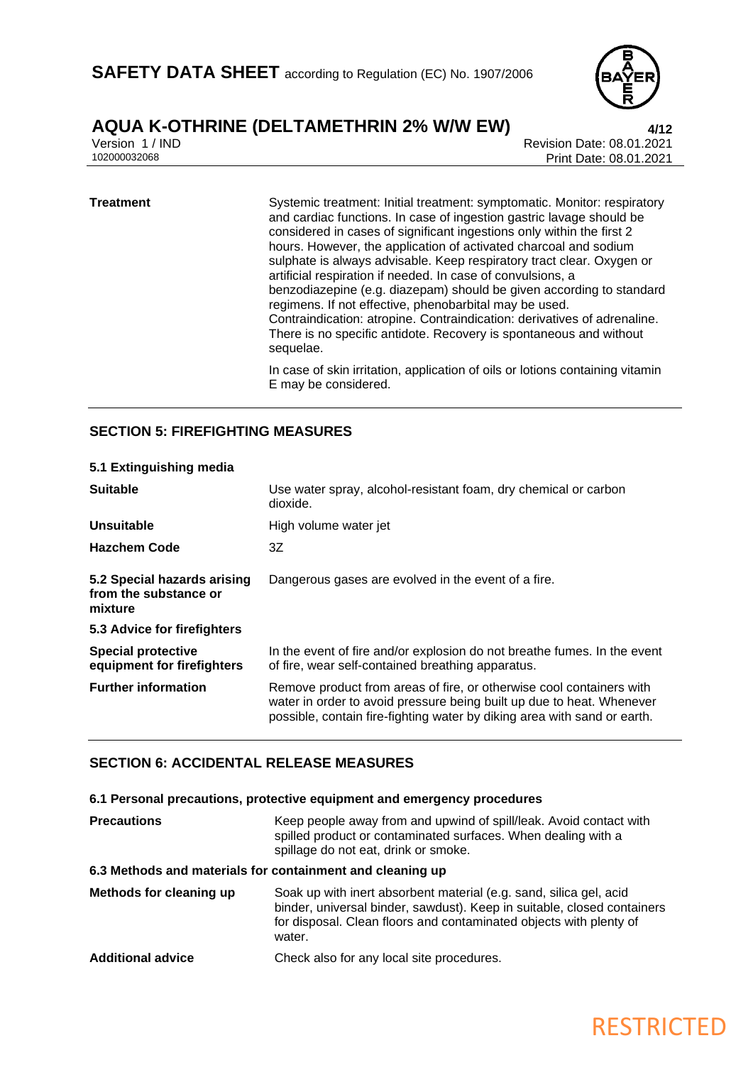

### **AQUA K-OTHRINE (DELTAMETHRIN 2% W/W EW)**<br>Version 1/IND<br>Revision Date: 08.01.2021

Version 1 / IND<br>102000032068<br>Print Date: 08.01.2021 Print Date: 08.01.2021

### **Treatment** Systemic treatment: Initial treatment: symptomatic. Monitor: respiratory and cardiac functions. In case of ingestion gastric lavage should be considered in cases of significant ingestions only within the first 2 hours. However, the application of activated charcoal and sodium sulphate is always advisable. Keep respiratory tract clear. Oxygen or artificial respiration if needed. In case of convulsions, a benzodiazepine (e.g. diazepam) should be given according to standard regimens. If not effective, phenobarbital may be used. Contraindication: atropine. Contraindication: derivatives of adrenaline. There is no specific antidote. Recovery is spontaneous and without sequelae. In case of skin irritation, application of oils or lotions containing vitamin E may be considered.

### **SECTION 5: FIREFIGHTING MEASURES**

| 5.1 Extinguishing media                                         |                                                                                                                                                                                                                           |  |
|-----------------------------------------------------------------|---------------------------------------------------------------------------------------------------------------------------------------------------------------------------------------------------------------------------|--|
| <b>Suitable</b>                                                 | Use water spray, alcohol-resistant foam, dry chemical or carbon<br>dioxide.                                                                                                                                               |  |
| Unsuitable                                                      | High volume water jet                                                                                                                                                                                                     |  |
| <b>Hazchem Code</b>                                             | 3Z                                                                                                                                                                                                                        |  |
| 5.2 Special hazards arising<br>from the substance or<br>mixture | Dangerous gases are evolved in the event of a fire.                                                                                                                                                                       |  |
| 5.3 Advice for firefighters                                     |                                                                                                                                                                                                                           |  |
| <b>Special protective</b><br>equipment for firefighters         | In the event of fire and/or explosion do not breathe fumes. In the event<br>of fire, wear self-contained breathing apparatus.                                                                                             |  |
| <b>Further information</b>                                      | Remove product from areas of fire, or otherwise cool containers with<br>water in order to avoid pressure being built up due to heat. Whenever<br>possible, contain fire-fighting water by diking area with sand or earth. |  |

### **SECTION 6: ACCIDENTAL RELEASE MEASURES**

### **6.1 Personal precautions, protective equipment and emergency procedures**

| <b>Precautions</b>                                        | Keep people away from and upwind of spill/leak. Avoid contact with<br>spilled product or contaminated surfaces. When dealing with a<br>spillage do not eat, drink or smoke.                                                   |  |
|-----------------------------------------------------------|-------------------------------------------------------------------------------------------------------------------------------------------------------------------------------------------------------------------------------|--|
| 6.3 Methods and materials for containment and cleaning up |                                                                                                                                                                                                                               |  |
| Methods for cleaning up                                   | Soak up with inert absorbent material (e.g. sand, silica gel, acid<br>binder, universal binder, sawdust). Keep in suitable, closed containers<br>for disposal. Clean floors and contaminated objects with plenty of<br>water. |  |
| <b>Additional advice</b>                                  | Check also for any local site procedures.                                                                                                                                                                                     |  |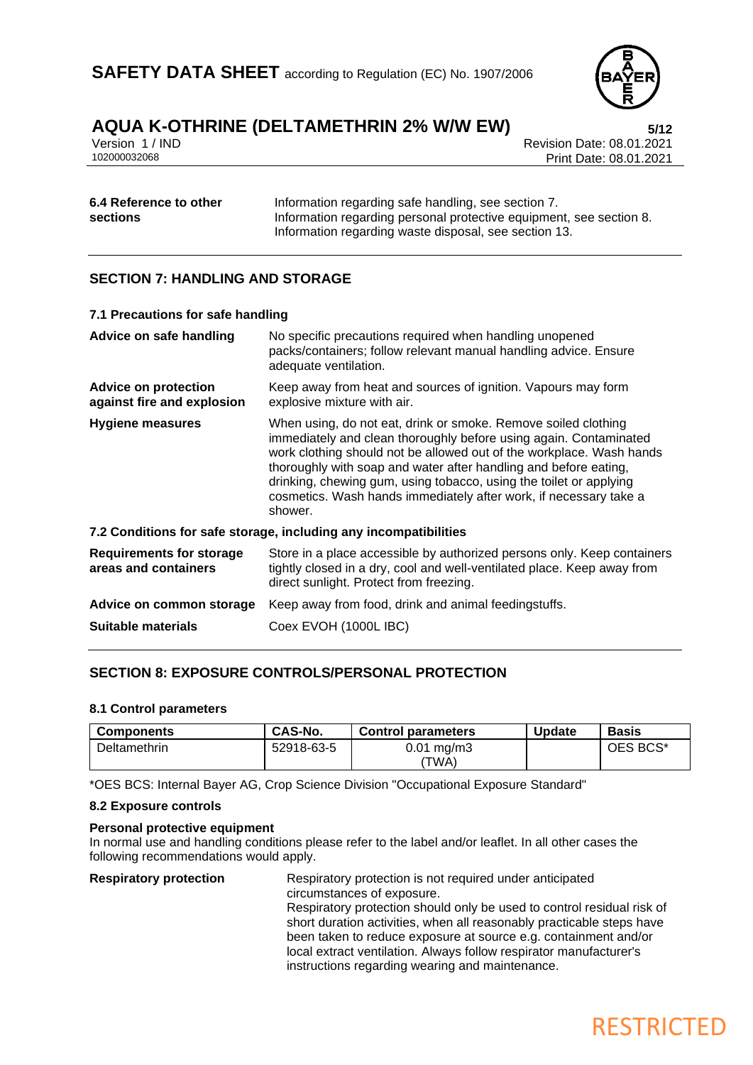### **AQUA K-OTHRINE (DELTAMETHRIN 2% W/W EW) 5/12**

Version 1 / IND<br>102000032068<br>Print Date: 08.01.2021 Print Date: 08.01.2021

| 6.4 Reference to other | Information regarding safe handling, see section 7.                 |  |  |
|------------------------|---------------------------------------------------------------------|--|--|
| <b>sections</b>        | Information regarding personal protective equipment, see section 8. |  |  |
|                        | Information regarding waste disposal, see section 13.               |  |  |

### **SECTION 7: HANDLING AND STORAGE**

| 7.1 Precautions for safe handling                         |                                                                                                                                                                                                                                                                                                                                                                                                                                       |  |  |
|-----------------------------------------------------------|---------------------------------------------------------------------------------------------------------------------------------------------------------------------------------------------------------------------------------------------------------------------------------------------------------------------------------------------------------------------------------------------------------------------------------------|--|--|
| Advice on safe handling                                   | No specific precautions required when handling unopened<br>packs/containers; follow relevant manual handling advice. Ensure<br>adequate ventilation.                                                                                                                                                                                                                                                                                  |  |  |
| <b>Advice on protection</b><br>against fire and explosion | Keep away from heat and sources of ignition. Vapours may form<br>explosive mixture with air.                                                                                                                                                                                                                                                                                                                                          |  |  |
| <b>Hygiene measures</b>                                   | When using, do not eat, drink or smoke. Remove soiled clothing<br>immediately and clean thoroughly before using again. Contaminated<br>work clothing should not be allowed out of the workplace. Wash hands<br>thoroughly with soap and water after handling and before eating,<br>drinking, chewing gum, using tobacco, using the toilet or applying<br>cosmetics. Wash hands immediately after work, if necessary take a<br>shower. |  |  |
|                                                           | 7.2 Conditions for safe storage, including any incompatibilities                                                                                                                                                                                                                                                                                                                                                                      |  |  |
| <b>Requirements for storage</b><br>areas and containers   | Store in a place accessible by authorized persons only. Keep containers<br>tightly closed in a dry, cool and well-ventilated place. Keep away from<br>direct sunlight. Protect from freezing.                                                                                                                                                                                                                                         |  |  |
| Advice on common storage                                  | Keep away from food, drink and animal feedingstuffs.                                                                                                                                                                                                                                                                                                                                                                                  |  |  |
| Suitable materials                                        | Coex EVOH (1000L IBC)                                                                                                                                                                                                                                                                                                                                                                                                                 |  |  |
|                                                           |                                                                                                                                                                                                                                                                                                                                                                                                                                       |  |  |

### **SECTION 8: EXPOSURE CONTROLS/PERSONAL PROTECTION**

### **8.1 Control parameters**

| <b>Components</b> | CAS-No.    | <b>Control parameters</b> | <b>Update</b> | <b>Basis</b> |
|-------------------|------------|---------------------------|---------------|--------------|
| Deltamethrin      | 52918-63-5 | $0.01$ mg/m $3$<br>'TWA)  |               | OES BCS*     |

\*OES BCS: Internal Bayer AG, Crop Science Division "Occupational Exposure Standard"

### **8.2 Exposure controls**

### **Personal protective equipment**

In normal use and handling conditions please refer to the label and/or leaflet. In all other cases the following recommendations would apply.

**Respiratory protection** Respiratory protection is not required under anticipated circumstances of exposure. Respiratory protection should only be used to control residual risk of short duration activities, when all reasonably practicable steps have been taken to reduce exposure at source e.g. containment and/or local extract ventilation. Always follow respirator manufacturer's instructions regarding wearing and maintenance.

**RESTRICTED**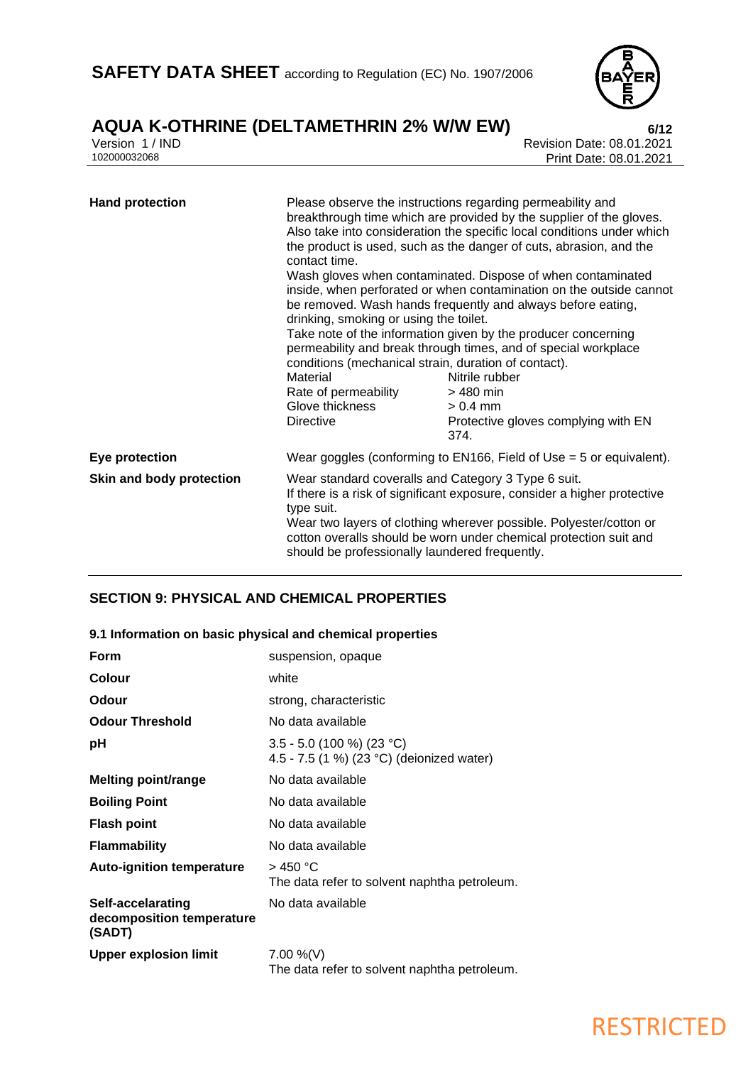

Version 1 / IND Revision Date: 08.01.2021 Print Date: 08.01.2021

| <b>Hand protection</b>   | contact time.<br>drinking, smoking or using the toilet.<br>conditions (mechanical strain, duration of contact).<br>Material<br>Rate of permeability<br>Glove thickness<br><b>Directive</b>                                                                                                                                                 | Please observe the instructions regarding permeability and<br>breakthrough time which are provided by the supplier of the gloves.<br>Also take into consideration the specific local conditions under which<br>the product is used, such as the danger of cuts, abrasion, and the<br>Wash gloves when contaminated. Dispose of when contaminated<br>inside, when perforated or when contamination on the outside cannot<br>be removed. Wash hands frequently and always before eating,<br>Take note of the information given by the producer concerning<br>permeability and break through times, and of special workplace<br>Nitrile rubber<br>> 480 min<br>$> 0.4$ mm<br>Protective gloves complying with EN<br>374. |
|--------------------------|--------------------------------------------------------------------------------------------------------------------------------------------------------------------------------------------------------------------------------------------------------------------------------------------------------------------------------------------|-----------------------------------------------------------------------------------------------------------------------------------------------------------------------------------------------------------------------------------------------------------------------------------------------------------------------------------------------------------------------------------------------------------------------------------------------------------------------------------------------------------------------------------------------------------------------------------------------------------------------------------------------------------------------------------------------------------------------|
| Eye protection           |                                                                                                                                                                                                                                                                                                                                            | Wear goggles (conforming to $EN166$ , Field of Use = 5 or equivalent).                                                                                                                                                                                                                                                                                                                                                                                                                                                                                                                                                                                                                                                |
| Skin and body protection | Wear standard coveralls and Category 3 Type 6 suit.<br>If there is a risk of significant exposure, consider a higher protective<br>type suit.<br>Wear two layers of clothing wherever possible. Polyester/cotton or<br>cotton overalls should be worn under chemical protection suit and<br>should be professionally laundered frequently. |                                                                                                                                                                                                                                                                                                                                                                                                                                                                                                                                                                                                                                                                                                                       |

### **SECTION 9: PHYSICAL AND CHEMICAL PROPERTIES**

### **9.1 Information on basic physical and chemical properties**

| <b>Form</b>                                              | suspension, opaque                                                       |
|----------------------------------------------------------|--------------------------------------------------------------------------|
| Colour                                                   | white                                                                    |
| Odour                                                    | strong, characteristic                                                   |
| <b>Odour Threshold</b>                                   | No data available                                                        |
| рH                                                       | $3.5 - 5.0$ (100 %) (23 °C)<br>4.5 - 7.5 (1 %) (23 °C) (deionized water) |
| <b>Melting point/range</b>                               | No data available                                                        |
| <b>Boiling Point</b>                                     | No data available                                                        |
| <b>Flash point</b>                                       | No data available                                                        |
| <b>Flammability</b>                                      | No data available                                                        |
| <b>Auto-ignition temperature</b>                         | $>$ 450 °C<br>The data refer to solvent naphtha petroleum.               |
| Self-accelarating<br>decomposition temperature<br>(SADT) | No data available                                                        |
| <b>Upper explosion limit</b>                             | 7.00 %(V)<br>The data refer to solvent naphtha petroleum.                |

### **RESTRICTED**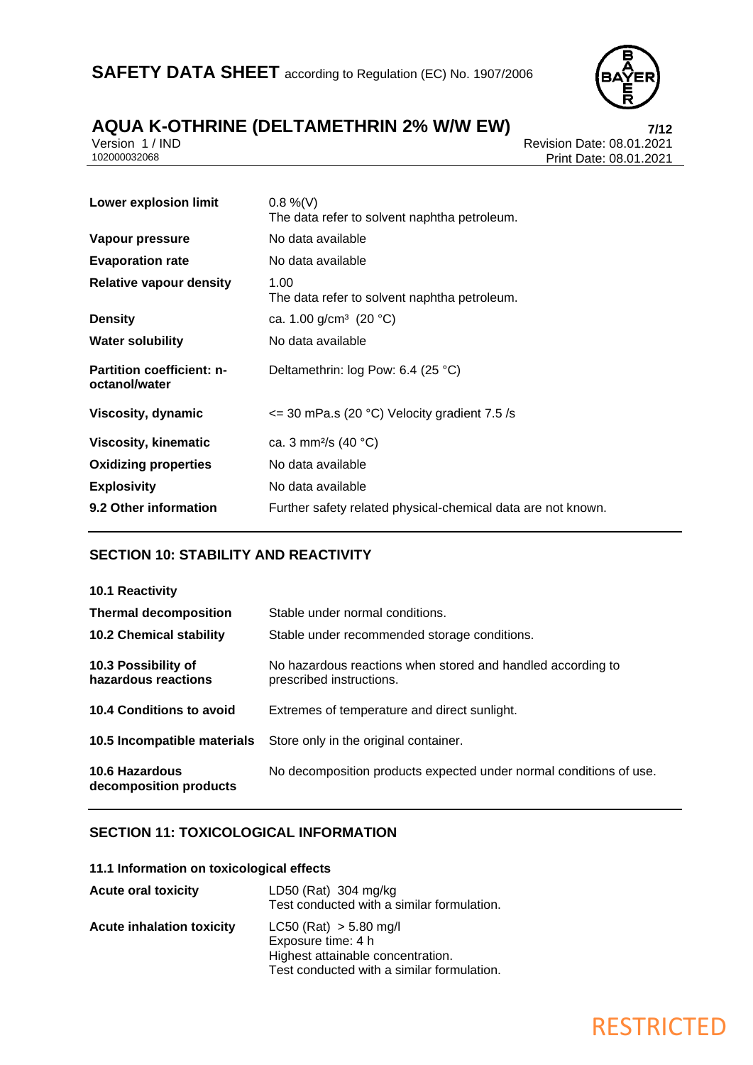

# **AQUA K-OTHRINE (DELTAMETHRIN 2% W/W EW) 7/12**

Version 1 / IND Revision Date: 08.01.2021 Print Date: 08.01.2021

| $0.8\%$ (V)<br>The data refer to solvent naphtha petroleum.  |
|--------------------------------------------------------------|
| No data available                                            |
| No data available                                            |
| 1.00<br>The data refer to solvent naphtha petroleum.         |
| ca. 1.00 g/cm <sup>3</sup> (20 °C)                           |
| No data available                                            |
| Deltamethrin: log Pow: 6.4 (25 °C)                           |
| $\epsilon$ = 30 mPa.s (20 °C) Velocity gradient 7.5 /s       |
| ca. 3 mm <sup>2</sup> /s (40 °C)                             |
| No data available                                            |
| No data available                                            |
| Further safety related physical-chemical data are not known. |
|                                                              |

### **SECTION 10: STABILITY AND REACTIVITY**

| <b>10.1 Reactivity</b>                          |                                                                                         |
|-------------------------------------------------|-----------------------------------------------------------------------------------------|
| <b>Thermal decomposition</b>                    | Stable under normal conditions.                                                         |
| <b>10.2 Chemical stability</b>                  | Stable under recommended storage conditions.                                            |
| 10.3 Possibility of<br>hazardous reactions      | No hazardous reactions when stored and handled according to<br>prescribed instructions. |
| 10.4 Conditions to avoid                        | Extremes of temperature and direct sunlight.                                            |
| 10.5 Incompatible materials                     | Store only in the original container.                                                   |
| <b>10.6 Hazardous</b><br>decomposition products | No decomposition products expected under normal conditions of use.                      |

### **SECTION 11: TOXICOLOGICAL INFORMATION**

### **11.1 Information on toxicological effects**

| <b>Acute oral toxicity</b>       | LD50 (Rat) $304 \text{ mg/kg}$<br>Test conducted with a similar formulation.                                                        |
|----------------------------------|-------------------------------------------------------------------------------------------------------------------------------------|
| <b>Acute inhalation toxicity</b> | $LC50$ (Rat) $> 5.80$ mg/l<br>Exposure time: 4 h<br>Highest attainable concentration.<br>Test conducted with a similar formulation. |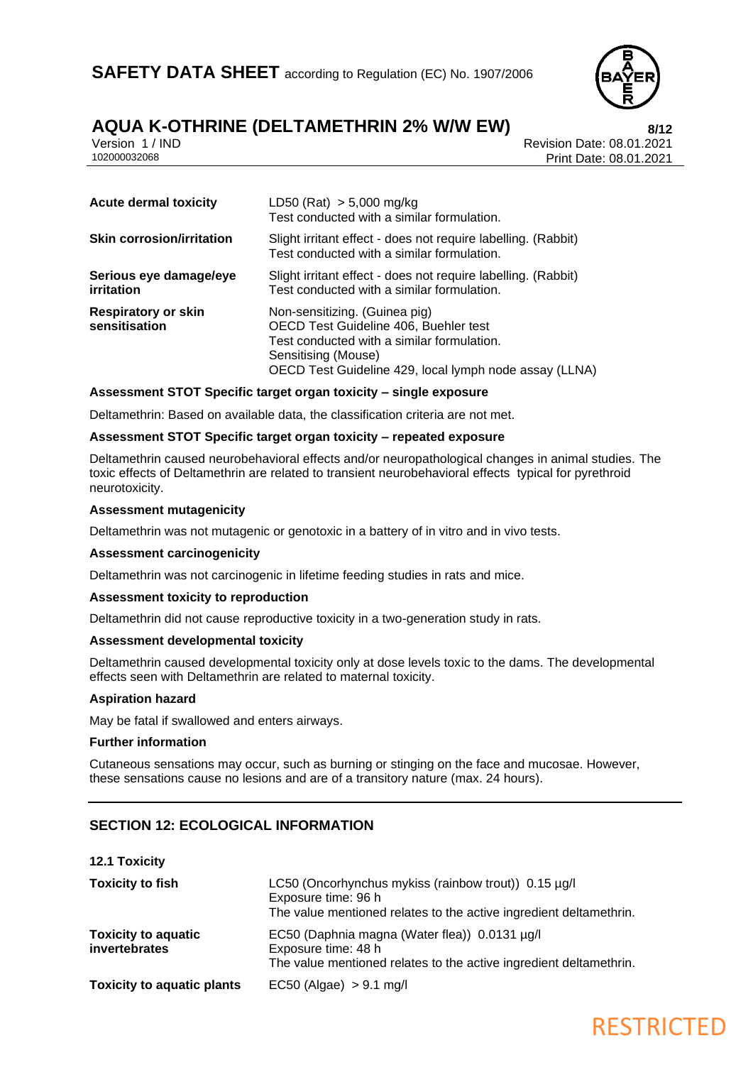

### **AQUA K-OTHRINE (DELTAMETHRIN 2% W/W EW)**<br>Version 1/IND<br>Revision Date: 08.01.2021

Version 1 / IND<br>102000032068<br>Print Date: 08.01.2021 Print Date: 08.01.2021

| <b>Acute dermal toxicity</b>                | LD50 (Rat) $> 5,000$ mg/kg<br>Test conducted with a similar formulation.                                                                                                                              |
|---------------------------------------------|-------------------------------------------------------------------------------------------------------------------------------------------------------------------------------------------------------|
| <b>Skin corrosion/irritation</b>            | Slight irritant effect - does not require labelling. (Rabbit)<br>Test conducted with a similar formulation.                                                                                           |
| Serious eye damage/eye<br>irritation        | Slight irritant effect - does not require labelling. (Rabbit)<br>Test conducted with a similar formulation.                                                                                           |
| <b>Respiratory or skin</b><br>sensitisation | Non-sensitizing. (Guinea pig)<br>OECD Test Guideline 406, Buehler test<br>Test conducted with a similar formulation.<br>Sensitising (Mouse)<br>OECD Test Guideline 429, local lymph node assay (LLNA) |

### **Assessment STOT Specific target organ toxicity – single exposure**

Deltamethrin: Based on available data, the classification criteria are not met.

### **Assessment STOT Specific target organ toxicity – repeated exposure**

Deltamethrin caused neurobehavioral effects and/or neuropathological changes in animal studies. The toxic effects of Deltamethrin are related to transient neurobehavioral effects typical for pyrethroid neurotoxicity.

### **Assessment mutagenicity**

Deltamethrin was not mutagenic or genotoxic in a battery of in vitro and in vivo tests.

### **Assessment carcinogenicity**

Deltamethrin was not carcinogenic in lifetime feeding studies in rats and mice.

### **Assessment toxicity to reproduction**

Deltamethrin did not cause reproductive toxicity in a two-generation study in rats.

### **Assessment developmental toxicity**

Deltamethrin caused developmental toxicity only at dose levels toxic to the dams. The developmental effects seen with Deltamethrin are related to maternal toxicity.

### **Aspiration hazard**

May be fatal if swallowed and enters airways.

#### **Further information**

Cutaneous sensations may occur, such as burning or stinging on the face and mucosae. However, these sensations cause no lesions and are of a transitory nature (max. 24 hours).

### **SECTION 12: ECOLOGICAL INFORMATION**

| <b>12.1 Toxicity</b>                        |                                                                                                                                                   |
|---------------------------------------------|---------------------------------------------------------------------------------------------------------------------------------------------------|
| <b>Toxicity to fish</b>                     | LC50 (Oncorhynchus mykiss (rainbow trout)) 0.15 µg/l<br>Exposure time: 96 h<br>The value mentioned relates to the active ingredient deltamethrin. |
| <b>Toxicity to aquatic</b><br>invertebrates | EC50 (Daphnia magna (Water flea)) 0.0131 µg/l<br>Exposure time: 48 h<br>The value mentioned relates to the active ingredient deltamethrin.        |
| <b>Toxicity to aquatic plants</b>           | $EC50$ (Algae) $> 9.1$ mg/l                                                                                                                       |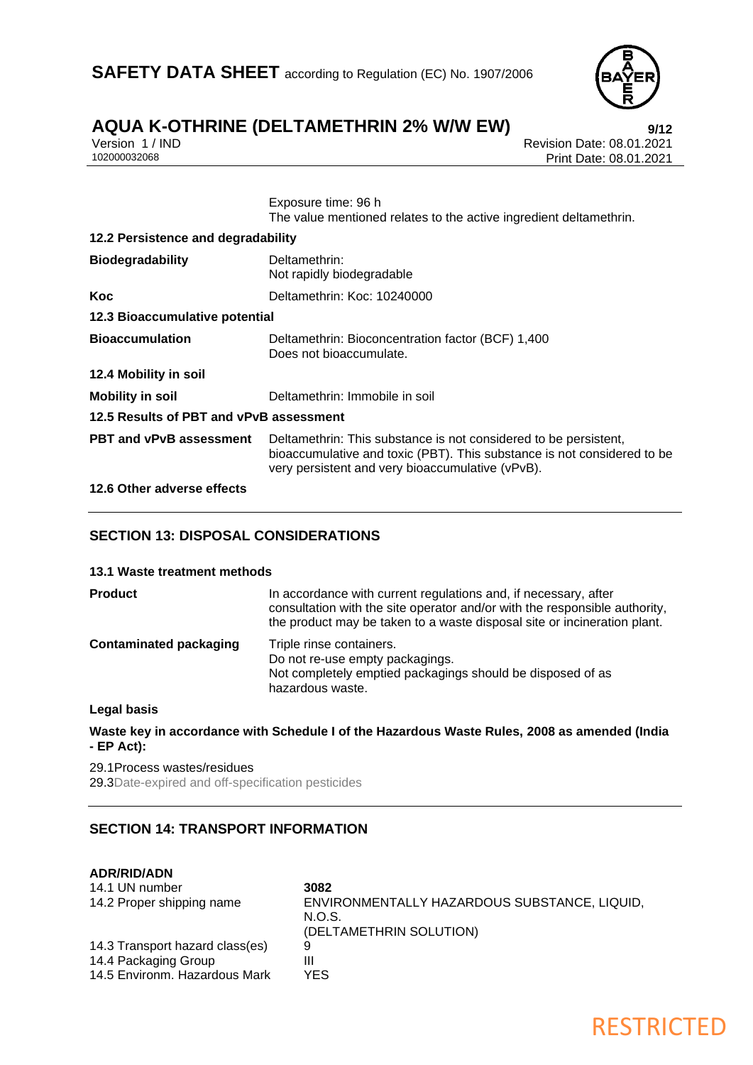

## **AQUA K-OTHRINE (DELTAMETHRIN 2% W/W EW)**<br>Version 1/IND<br>Revision Date: 08.01.2021

Version 1 / IND<br>102000032068<br>Print Date: 08.01.2021 Print Date: 08.01.2021

> Exposure time: 96 h The value mentioned relates to the active ingredient deltamethrin.

| 12.2 Persistence and degradability      |                                                                                                                                                                                                 |  |
|-----------------------------------------|-------------------------------------------------------------------------------------------------------------------------------------------------------------------------------------------------|--|
| <b>Biodegradability</b>                 | Deltamethrin:<br>Not rapidly biodegradable                                                                                                                                                      |  |
| Koc                                     | Deltamethrin: Koc: 10240000                                                                                                                                                                     |  |
| 12.3 Bioaccumulative potential          |                                                                                                                                                                                                 |  |
| <b>Bioaccumulation</b>                  | Deltamethrin: Bioconcentration factor (BCF) 1,400<br>Does not bioaccumulate.                                                                                                                    |  |
| 12.4 Mobility in soil                   |                                                                                                                                                                                                 |  |
| <b>Mobility in soil</b>                 | Deltamethrin: Immobile in soil                                                                                                                                                                  |  |
| 12.5 Results of PBT and vPvB assessment |                                                                                                                                                                                                 |  |
| <b>PBT and vPvB assessment</b>          | Deltamethrin: This substance is not considered to be persistent,<br>bioaccumulative and toxic (PBT). This substance is not considered to be<br>very persistent and very bioaccumulative (vPvB). |  |
|                                         |                                                                                                                                                                                                 |  |

### **12.6 Other adverse effects**

### **SECTION 13: DISPOSAL CONSIDERATIONS**

### **13.1 Waste treatment methods**

| <b>Product</b>                | In accordance with current regulations and, if necessary, after<br>consultation with the site operator and/or with the responsible authority,<br>the product may be taken to a waste disposal site or incineration plant. |
|-------------------------------|---------------------------------------------------------------------------------------------------------------------------------------------------------------------------------------------------------------------------|
| <b>Contaminated packaging</b> | Triple rinse containers.<br>Do not re-use empty packagings.<br>Not completely emptied packagings should be disposed of as<br>hazardous waste.                                                                             |

### **Legal basis**

**Waste key in accordance with Schedule I of the Hazardous Waste Rules, 2008 as amended (India - EP Act):**

29.1Process wastes/residues 29.3Date-expired and off-specification pesticides

### **SECTION 14: TRANSPORT INFORMATION**

### **ADR/RID/ADN**

| 14.1 UN number                  | 3082                                                   |
|---------------------------------|--------------------------------------------------------|
| 14.2 Proper shipping name       | ENVIRONMENTALLY HAZARDOUS SUBSTANCE, LIQUID,<br>N.O.S. |
|                                 | (DELTAMETHRIN SOLUTION)                                |
| 14.3 Transport hazard class(es) | 9                                                      |
| 14.4 Packaging Group            | Ш                                                      |
| 14.5 Environm. Hazardous Mark   | YFS                                                    |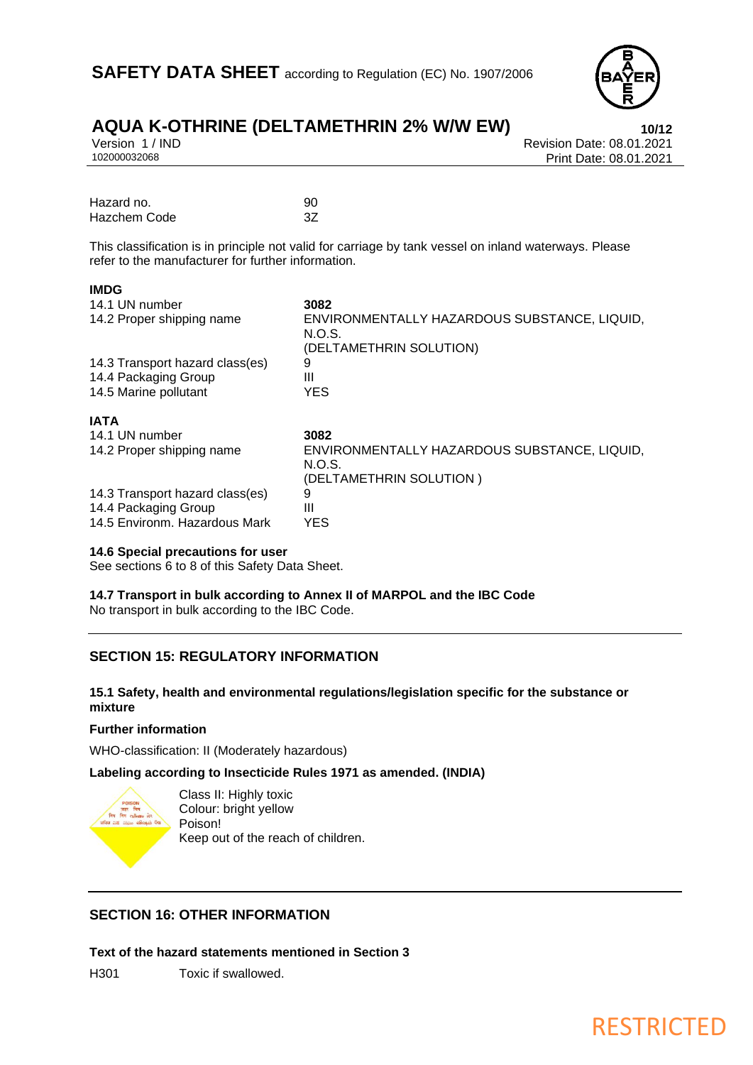

## **AQUA K-OTHRINE (DELTAMETHRIN 2% W/W EW)**<br>Version 1/IND<br>Revision Date: 08.01.2021

**IMDG**

Version 1 / IND<br>102000032068<br>Print Date: 08.01.2021 Print Date: 08.01.2021

| Hazard no.   | 90 |
|--------------|----|
| Hazchem Code |    |

This classification is in principle not valid for carriage by tank vessel on inland waterways. Please refer to the manufacturer for further information.

| INIUG                           |                                                                                   |
|---------------------------------|-----------------------------------------------------------------------------------|
| 14.1 UN number                  | 3082                                                                              |
| 14.2 Proper shipping name       | ENVIRONMENTALLY HAZARDOUS SUBSTANCE, LIQUID,<br>N.O.S.<br>(DELTAMETHRIN SOLUTION) |
| 14.3 Transport hazard class(es) | 9                                                                                 |
| 14.4 Packaging Group            | Ш                                                                                 |
| 14.5 Marine pollutant           | <b>YES</b>                                                                        |
| <b>IATA</b>                     |                                                                                   |
| 14.1 UN number                  | 3082                                                                              |
| 14.2 Proper shipping name       | ENVIRONMENTALLY HAZARDOUS SUBSTANCE, LIQUID,<br>N.O.S.                            |
|                                 | (DELTAMETHRIN SOLUTION)                                                           |
| 14.3 Transport hazard class(es) | 9                                                                                 |
| 14.4 Packaging Group            | Ш                                                                                 |
|                                 |                                                                                   |
| 14.5 Environm. Hazardous Mark   | YES                                                                               |

### **14.6 Special precautions for user**

See sections 6 to 8 of this Safety Data Sheet.

**14.7 Transport in bulk according to Annex II of MARPOL and the IBC Code** No transport in bulk according to the IBC Code.

### **SECTION 15: REGULATORY INFORMATION**

### **15.1 Safety, health and environmental regulations/legislation specific for the substance or mixture**

### **Further information**

WHO-classification: II (Moderately hazardous)

### **Labeling according to Insecticide Rules 1971 as amended. (INDIA)**



Class II: Highly toxic Colour: bright yellow Poison! Keep out of the reach of children.

### **SECTION 16: OTHER INFORMATION**

**Text of the hazard statements mentioned in Section 3**

H301 Toxic if swallowed.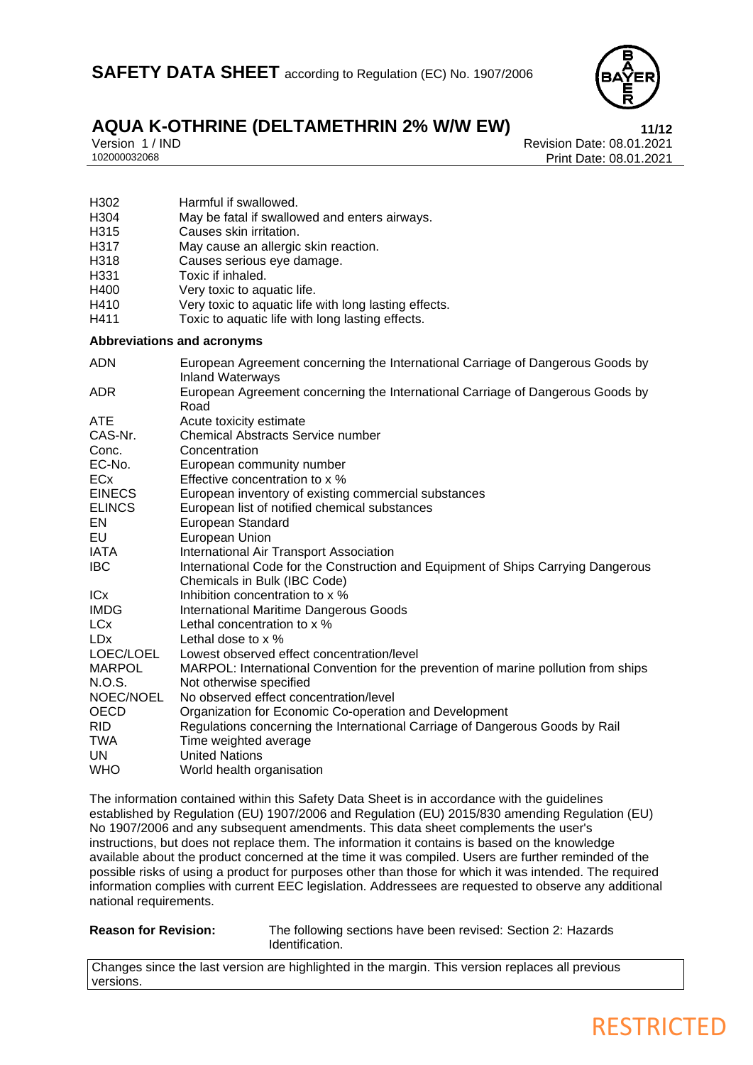

H304 May be fatal if swallowed and enters airways.<br>H315 Causes skin irritation.

May cause an allergic skin reaction.

H302 Harmful if swallowed.<br>H304 May be fatal if swallow

H315 Causes skin irritation.<br>H317 May cause an allergic

H318 Causes serious eye damage.<br>H331 Toxic if inhaled. Toxic if inhaled.

H400 Very toxic to aquatic life.<br>H410 Very toxic to aquatic life.

Version 1 / IND<br>102000032068<br>Print Date: 08.01.2021 Print Date: 08.01.2021

| H410<br>H411                      | Very toxic to aquatic life with long lasting effects.<br>Toxic to aquatic life with long lasting effects.         |
|-----------------------------------|-------------------------------------------------------------------------------------------------------------------|
| <b>Abbreviations and acronyms</b> |                                                                                                                   |
| <b>ADN</b>                        | European Agreement concerning the International Carriage of Dangerous Goods by<br><b>Inland Waterways</b>         |
| <b>ADR</b>                        | European Agreement concerning the International Carriage of Dangerous Goods by<br>Road                            |
| <b>ATE</b>                        | Acute toxicity estimate                                                                                           |
| CAS-Nr.                           | <b>Chemical Abstracts Service number</b>                                                                          |
| Conc.                             | Concentration                                                                                                     |
| EC-No.                            | European community number                                                                                         |
| <b>ECx</b>                        | Effective concentration to x %                                                                                    |
| <b>EINECS</b>                     | European inventory of existing commercial substances                                                              |
| <b>ELINCS</b>                     | European list of notified chemical substances                                                                     |
| EN                                | European Standard                                                                                                 |
| EU                                | European Union                                                                                                    |
| <b>IATA</b>                       | International Air Transport Association                                                                           |
| <b>IBC</b>                        | International Code for the Construction and Equipment of Ships Carrying Dangerous<br>Chemicals in Bulk (IBC Code) |
| <b>ICx</b>                        | Inhibition concentration to x %                                                                                   |
| <b>IMDG</b>                       | <b>International Maritime Dangerous Goods</b>                                                                     |
| <b>LCx</b>                        | Lethal concentration to x %                                                                                       |
| <b>LDx</b>                        | Lethal dose to $\times$ %                                                                                         |
| LOEC/LOEL                         | Lowest observed effect concentration/level                                                                        |
| <b>MARPOL</b>                     | MARPOL: International Convention for the prevention of marine pollution from ships                                |
| N.O.S.                            | Not otherwise specified                                                                                           |
| NOEC/NOEL                         | No observed effect concentration/level                                                                            |
| <b>OECD</b>                       | Organization for Economic Co-operation and Development                                                            |
| <b>RID</b>                        | Regulations concerning the International Carriage of Dangerous Goods by Rail                                      |
| TWA                               | Time weighted average                                                                                             |
| UN                                | <b>United Nations</b>                                                                                             |
| <b>WHO</b>                        | World health organisation                                                                                         |

The information contained within this Safety Data Sheet is in accordance with the guidelines established by Regulation (EU) 1907/2006 and Regulation (EU) 2015/830 amending Regulation (EU) No 1907/2006 and any subsequent amendments. This data sheet complements the user's instructions, but does not replace them. The information it contains is based on the knowledge available about the product concerned at the time it was compiled. Users are further reminded of the possible risks of using a product for purposes other than those for which it was intended. The required information complies with current EEC legislation. Addressees are requested to observe any additional national requirements.

**Reason for Revision:** The following sections have been revised: Section 2: Hazards Identification.

Changes since the last version are highlighted in the margin. This version replaces all previous versions.